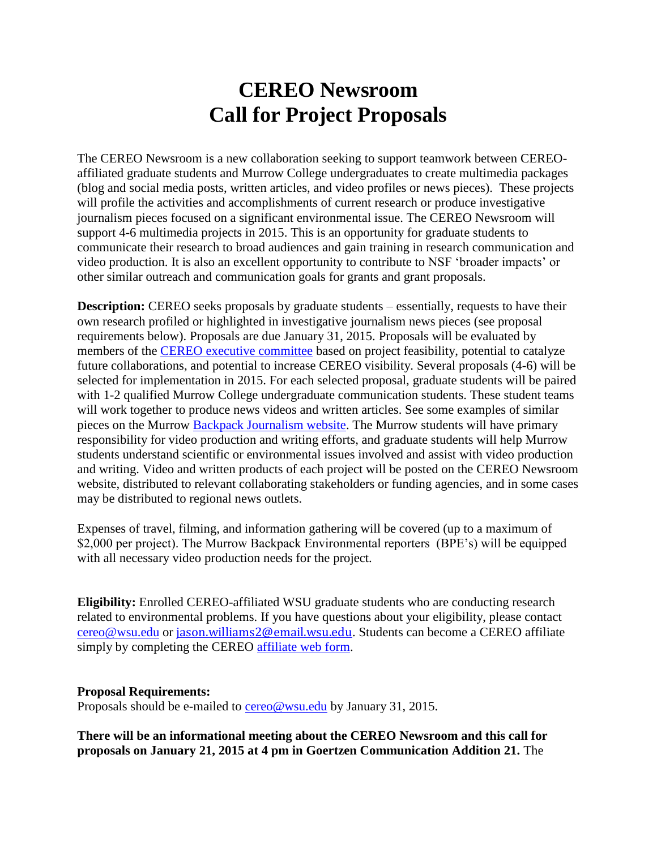## **CEREO Newsroom Call for Project Proposals**

The CEREO Newsroom is a new collaboration seeking to support teamwork between CEREOaffiliated graduate students and Murrow College undergraduates to create multimedia packages (blog and social media posts, written articles, and video profiles or news pieces). These projects will profile the activities and accomplishments of current research or produce investigative journalism pieces focused on a significant environmental issue. The CEREO Newsroom will support 4-6 multimedia projects in 2015. This is an opportunity for graduate students to communicate their research to broad audiences and gain training in research communication and video production. It is also an excellent opportunity to contribute to NSF 'broader impacts' or other similar outreach and communication goals for grants and grant proposals.

**Description:** CEREO seeks proposals by graduate students – essentially, requests to have their own research profiled or highlighted in investigative journalism news pieces (see proposal requirements below). Proposals are due January 31, 2015. Proposals will be evaluated by members of the [CEREO executive committee](http://cereo.wsu.edu/cereo-people/#ExComm) based on project feasibility, potential to catalyze future collaborations, and potential to increase CEREO visibility. Several proposals (4-6) will be selected for implementation in 2015. For each selected proposal, graduate students will be paired with 1-2 qualified Murrow College undergraduate communication students. These student teams will work together to produce news videos and written articles. See some examples of similar pieces on the Murrow [Backpack Journalism website.](http://wsubackpackjournalism.blogspot.com/search/label/video) The Murrow students will have primary responsibility for video production and writing efforts, and graduate students will help Murrow students understand scientific or environmental issues involved and assist with video production and writing. Video and written products of each project will be posted on the CEREO Newsroom website, distributed to relevant collaborating stakeholders or funding agencies, and in some cases may be distributed to regional news outlets.

Expenses of travel, filming, and information gathering will be covered (up to a maximum of \$2,000 per project). The Murrow Backpack Environmental reporters (BPE's) will be equipped with all necessary video production needs for the project.

**Eligibility:** Enrolled CEREO-affiliated WSU graduate students who are conducting research related to environmental problems. If you have questions about your eligibility, please contact [cereo@wsu.edu](mailto:cereo@wsu.edu) or [jason.williams2@email.wsu.edu](mailto:jason.williams2@email.wsu.edu). Students can become a CEREO affiliate simply by completing the CEREO [affiliate web form.](http://cereo.wsu.edu/invitation-to-participate/)

## **Proposal Requirements:**

Proposals should be e-mailed to [cereo@wsu.edu](mailto:cereo@wsu.edu) by January 31, 2015.

**There will be an informational meeting about the CEREO Newsroom and this call for proposals on January 21, 2015 at 4 pm in Goertzen Communication Addition 21.** The